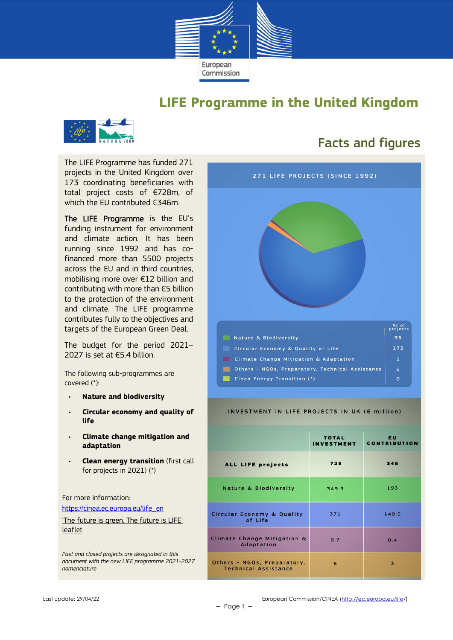

### **LIFE Programme in the United Kingdom**



The LIFE Programme has funded 271 projects in the United Kingdom over 173 coordinating beneficiaries with total project costs of €728m, of which the EU contributed €346m.

The LIFE Programme is the EU's funding instrument for environment and climate action. It has been running since 1992 and has cofinanced more than 5500 projects across the EU and in third countries, mobilising more over €12 billion and contributing with more than €5 billion to the protection of the environment and climate. The LIFE programme contributes fully to the objectives and targets of the European Green Deal.

The budget for the period 2021– 2027 is set at €5.4 billion.

The following sub-programmes are covered (\*):

- **Nature and biodiversity**
- **Circular economy and quality of life**
- **Climate change mitigation and adaptation**
- **Clean energy transition** (first call for projects in 2021) (\*)

For more information: https://cinea.ec.europa.eu/life\_en

'The future is green. The future is LIFE' leaflet

*Past and closed projects are designated in this document with the new LIFE programme 2021-2027 nomenclature*

### Facts and figures



#### INVESTMENT IN LIFE PROJECTS IN UK (€ million)

|                                                            | <b>TOTAL</b><br><b>INVESTMENT</b> | <b>EU</b><br><b>CONTRIBUTION</b> |
|------------------------------------------------------------|-----------------------------------|----------------------------------|
| ALL LIFE projects                                          | 728                               | 346                              |
| <b>Nature &amp; Biodiversity</b>                           | 349.5                             | 193                              |
| Circular Economy & Quality<br>of Life                      | 371                               | 149.5                            |
| Climate Change Mitigation &<br>Adaptation                  | 0.7                               | 0.4                              |
| Others - NGOs, Preparatory,<br><b>Technical Assistance</b> | 6                                 | $\overline{\mathbf{3}}$          |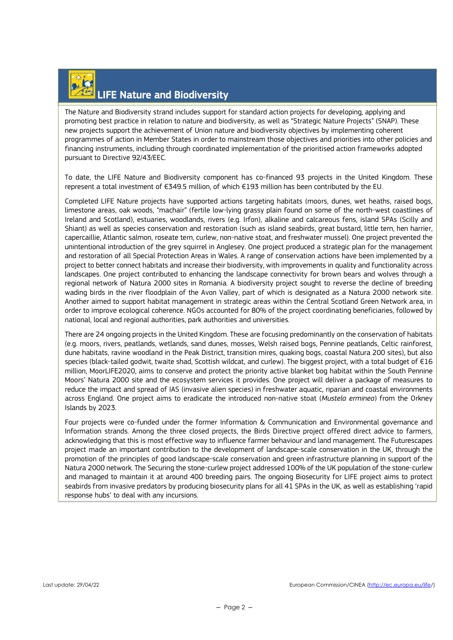## LIFE Nature and Biodiversity

The Nature and Biodiversity strand includes support for standard action projects for developing, applying and promoting best practice in relation to nature and biodiversity, as well as "Strategic Nature Projects" (SNAP). These new projects support the achievement of Union nature and biodiversity objectives by implementing coherent programmes of action in Member States in order to mainstream those objectives and priorities into other policies and financing instruments, including through coordinated implementation of the prioritised action frameworks adopted pursuant to Directive 92/43/EEC.

To date, the LIFE Nature and Biodiversity component has co-financed 93 projects in the United Kingdom. These represent a total investment of €349.5 million, of which €193 million has been contributed by the EU.

Completed LIFE Nature projects have supported actions targeting habitats (moors, dunes, wet heaths, raised bogs, limestone areas, oak woods, "machair" (fertile low-lying grassy plain found on some of the north-west coastlines of Ireland and Scotland), estuaries, woodlands, rivers (e.g. Irfon), alkaline and calcareous fens, island SPAs (Scilly and Shiant) as well as species conservation and restoration (such as island seabirds, great bustard, little tern, hen harrier, capercaillie, Atlantic salmon, roseate tern, curlew, non-native stoat, and freshwater mussel). One project prevented the unintentional introduction of the grey squirrel in Anglesey. One project produced a strategic plan for the management and restoration of all Special Protection Areas in Wales. A range of conservation actions have been implemented by a project to better connect habitats and increase their biodiversity, with improvements in quality and functionality across landscapes. One project contributed to enhancing the landscape connectivity for brown bears and wolves through a regional network of Natura 2000 sites in Romania. A biodiversity project sought to reverse the decline of breeding wading birds in the river floodplain of the Avon Valley, part of which is designated as a Natura 2000 network site. Another aimed to support habitat management in strategic areas within the Central Scotland Green Network area, in order to improve ecological coherence. NGOs accounted for 80% of the project coordinating beneficiaries, followed by national, local and regional authorities, park authorities and universities.

There are 24 ongoing projects in the United Kingdom. These are focusing predominantly on the conservation of habitats (e.g. moors, rivers, peatlands, wetlands, sand dunes, mosses, Welsh raised bogs, Pennine peatlands, Celtic rainforest, dune habitats, ravine woodland in the Peak District, transition mires, quaking bogs, coastal Natura 200 sites), but also species (black-tailed godwit, twaite shad, Scottish wildcat, and curlew). The biggest project, with a total budget of €16 million, MoorLIFE2020, aims to conserve and protect the priority active blanket bog habitat within the South Pennine Moors' Natura 2000 site and the ecosystem services it provides. One project will deliver a package of measures to reduce the impact and spread of IAS (invasive alien species) in freshwater aquatic, riparian and coastal environments across England. One project aims to eradicate the introduced non-native stoat (*Mustela erminea*) from the Orkney Islands by 2023.

Four projects were co-funded under the former Information & Communication and Environmental governance and Information strands. Among the three closed projects, the Birds Directive project offered direct advice to farmers, acknowledging that this is most effective way to influence farmer behaviour and land management. The Futurescapes project made an important contribution to the development of landscape-scale conservation in the UK, through the promotion of the principles of good landscape-scale conservation and green infrastructure planning in support of the Natura 2000 network. The Securing the stone-curlew project addressed 100% of the UK population of the stone-curlew and managed to maintain it at around 400 breeding pairs. The ongoing Biosecurity for LIFE project aims to protect seabirds from invasive predators by producing biosecurity plans for all 41 SPAs in the UK, as well as establishing 'rapid response hubs' to deal with any incursions.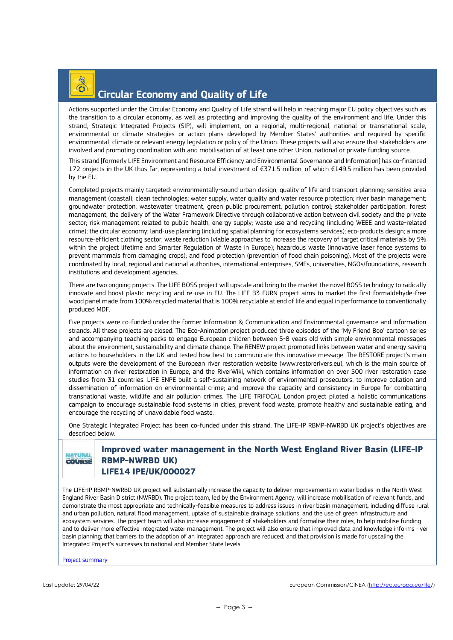## Circular Economy and Quality of Life

Actions supported under the Circular Economy and Quality of Life strand will help in reaching major EU policy objectives such as the transition to a circular economy, as well as protecting and improving the quality of the environment and life. Under this strand, Strategic Integrated Projects (SIP), will implement, on a regional, multi-regional, national or transnational scale, environmental or climate strategies or action plans developed by Member States' authorities and required by specific environmental, climate or relevant energy legislation or policy of the Union. These projects will also ensure that stakeholders are involved and promoting coordination with and mobilisation of at least one other Union, national or private funding source.

This strand [formerly LIFE Environment and Resource Efficiency and Environmental Governance and Information] has co-financed 172 projects in the UK thus far, representing a total investment of €371.5 million, of which €149.5 million has been provided by the EU.

Completed projects mainly targeted: environmentally-sound urban design; quality of life and transport planning; sensitive area management (coastal); clean technologies; water supply, water quality and water resource protection; river basin management; groundwater protection; wastewater treatment; green public procurement; pollution control; stakeholder participation; forest management; the delivery of the Water Framework Directive through collaborative action between civil society and the private sector; risk management related to public health; energy supply; waste use and recycling (including WEEE and waste-related crime); the circular economy; land-use planning (including spatial planning for ecosystems services); eco-products design; a more resource-efficient clothing sector; waste reduction (viable approaches to increase the recovery of target critical materials by 5% within the project lifetime and Smarter Regulation of Waste in Europe); hazardous waste (innovative laser fence systems to prevent mammals from damaging crops); and food protection (prevention of food chain poisoning). Most of the projects were coordinated by local, regional and national authorities, international enterprises, SMEs, universities, NGOs/foundations, research institutions and development agencies.

There are two ongoing projects. The LIFE BOSS project will upscale and bring to the market the novel BOSS technology to radically innovate and boost plastic recycling and re-use in EU. The LIFE B3 FURN project aims to market the first formaldehyde-free wood panel made from 100% recycled material that is 100% recyclable at end of life and equal in performance to conventionally produced MDF.

Five projects were co-funded under the former Information & Communication and Environmental governance and Information strands. All these projects are closed. The Eco-Animation project produced three episodes of the 'My Friend Boo' cartoon series and accompanying teaching packs to engage European children between 5-8 years old with simple environmental messages about the environment, sustainability and climate change. The RENEW project promoted links between water and energy saving actions to householders in the UK and tested how best to communicate this innovative message. The RESTORE project's main outputs were the development of the European river restoration website (www.restorerivers.eu), which is the main source of information on river restoration in Europe, and the RiverWiki, which contains information on over 500 river restoration case studies from 31 countries. LIFE ENPE built a self-sustaining network of environmental prosecutors, to improve collation and dissemination of information on environmental crime; and improve the capacity and consistency in Europe for combatting transnational waste, wildlife and air pollution crimes. The LIFE TRiFOCAL London project piloted a holistic communications campaign to encourage sustainable food systems in cities, prevent food waste, promote healthy and sustainable eating, and encourage the recycling of unavoidable food waste.

One Strategic Integrated Project has been co-funded under this strand. The LIFE-IP RBMP-NWRBD UK project's objectives are described below.

#### **ATURAL** COURSE

#### **Improved water management in the North West England River Basin (LIFE-IP RBMP-NWRBD UK) LIFE14 IPE/UK/000027**

The LIFE-IP RBMP-NWRBD UK project will substantially increase the capacity to deliver improvements in water bodies in the North West England River Basin District (NWRBD). The project team, led by the Environment Agency, will increase mobilisation of relevant funds, and demonstrate the most appropriate and technically-feasible measures to address issues in river basin management, including diffuse rural and urban pollution, natural flood management, uptake of sustainable drainage solutions, and the use of green infrastructure and ecosystem services. The project team will also increase engagement of stakeholders and formalise their roles, to help mobilise funding and to deliver more effective integrated water management. The project will also ensure that improved data and knowledge informs river basin planning; that barriers to the adoption of an integrated approach are reduced; and that provision is made for upscaling the Integrated Project's successes to national and Member State levels.

Project summary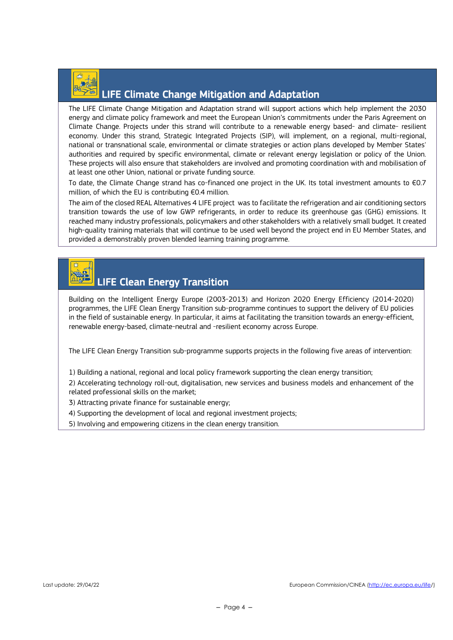

### LIFE Climate Change Mitigation and Adaptation

The LIFE Climate Change Mitigation and Adaptation strand will support actions which help implement the 2030 energy and climate policy framework and meet the European Union's commitments under the Paris Agreement on Climate Change. Projects under this strand will contribute to a renewable energy based- and climate- resilient economy. Under this strand, Strategic Integrated Projects (SIP), will implement, on a regional, multi-regional, national or transnational scale, environmental or climate strategies or action plans developed by Member States' authorities and required by specific environmental, climate or relevant energy legislation or policy of the Union. These projects will also ensure that stakeholders are involved and promoting coordination with and mobilisation of at least one other Union, national or private funding source.

To date, the Climate Change strand has co-financed one project in the UK. Its total investment amounts to €0.7 million, of which the EU is contributing €0.4 million.

The aim of the closed REAL Alternatives 4 LIFE project was to facilitate the refrigeration and air conditioning sectors transition towards the use of low GWP refrigerants, in order to reduce its greenhouse gas (GHG) emissions. It reached many industry professionals, policymakers and other stakeholders with a relatively small budget. It created high-quality training materials that will continue to be used well beyond the project end in EU Member States, and provided a demonstrably proven blended learning training programme.

# LIFE Clean Energy Transition

Building on the Intelligent Energy Europe (2003-2013) and Horizon 2020 Energy Efficiency (2014-2020) programmes, the LIFE Clean Energy Transition sub-programme continues to support the delivery of EU policies in the field of sustainable energy. In particular, it aims at facilitating the transition towards an energy-efficient, renewable energy-based, climate-neutral and -resilient economy across Europe.

The LIFE Clean Energy Transition sub-programme supports projects in the following five areas of intervention:

1) Building a national, regional and local policy framework supporting the clean energy transition;

2) Accelerating technology roll-out, digitalisation, new services and business models and enhancement of the related professional skills on the market;

- 3) Attracting private finance for sustainable energy;
- 4) Supporting the development of local and regional investment projects;
- 5) Involving and empowering citizens in the clean energy transition.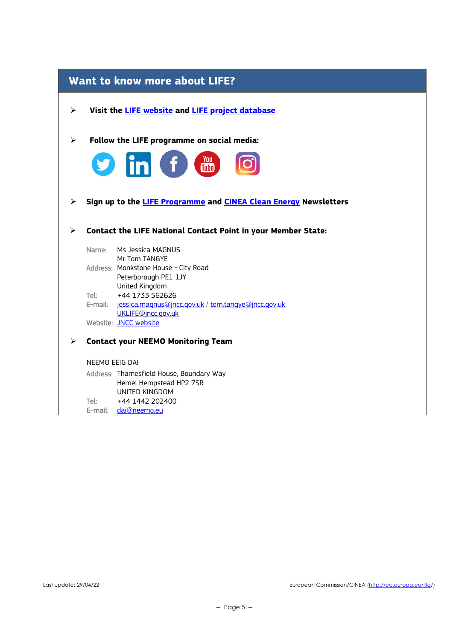|                       | Want to know more about LIFE?                                                                                                 |  |  |  |  |
|-----------------------|-------------------------------------------------------------------------------------------------------------------------------|--|--|--|--|
| ➤                     | Visit the <b>LIFE website</b> and <b>LIFE project database</b>                                                                |  |  |  |  |
| $\blacktriangleright$ | Follow the LIFE programme on social media:                                                                                    |  |  |  |  |
|                       | <b>S</b> in f the                                                                                                             |  |  |  |  |
| ➤                     | Sign up to the LIFE Programme and CINEA Clean Energy Newsletters                                                              |  |  |  |  |
| ⋗                     | <b>Contact the LIFE National Contact Point in your Member State:</b>                                                          |  |  |  |  |
|                       | Name:<br>Ms Jessica MAGNUS<br>Mr Tom TANGYE<br>Address: Monkstone House - City Road<br>Peterborough PE1 1JY<br>United Kingdom |  |  |  |  |
|                       | Tel:<br>+44 1733 562626                                                                                                       |  |  |  |  |
|                       | E-mail: jessica.magnus@jncc.gov.uk / tom.tangye@jncc.gov.uk<br>UKLIFE@jncc.gov.uk                                             |  |  |  |  |
|                       | Website: JNCC website                                                                                                         |  |  |  |  |
| ➤                     | <b>Contact your NEEMO Monitoring Team</b>                                                                                     |  |  |  |  |
|                       | NEEMO EEIG DAI                                                                                                                |  |  |  |  |
|                       | Address: Thamesfield House, Boundary Way<br>Hemel Hempstead HP2 7SR<br>UNITED KINGDOM                                         |  |  |  |  |
|                       | +44 1442 202400<br>Tel: I<br>dai@neemo.eu<br>E-mail:                                                                          |  |  |  |  |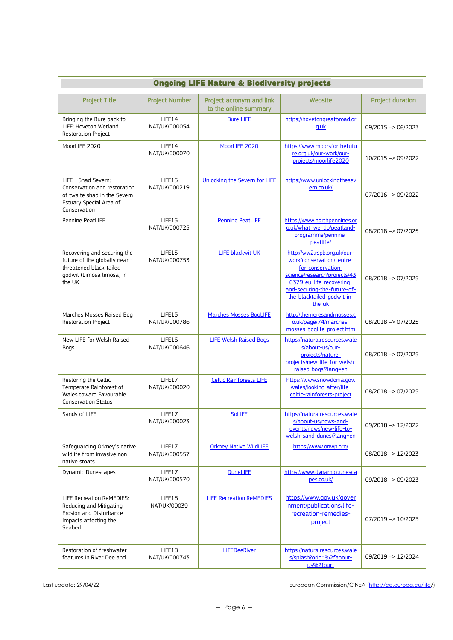| <b>Ongoing LIFE Nature &amp; Biodiversity projects</b>                                                                         |                         |                                                   |                                                                                                                                                                                                                  |                         |
|--------------------------------------------------------------------------------------------------------------------------------|-------------------------|---------------------------------------------------|------------------------------------------------------------------------------------------------------------------------------------------------------------------------------------------------------------------|-------------------------|
| <b>Project Title</b>                                                                                                           | <b>Project Number</b>   | Project acronym and link<br>to the online summary | Website                                                                                                                                                                                                          | <b>Project duration</b> |
| Bringing the Bure back to<br>LIFE: Hoveton Wetland<br><b>Restoration Project</b>                                               | LIFE14<br>NAT/UK/000054 | <b>Bure LIFE</b>                                  | https://hovetongreatbroad.or<br>q.uk                                                                                                                                                                             | 09/2015 -> 06/2023      |
| MoorLIFE 2020                                                                                                                  | LIFE14<br>NAT/UK/000070 | MoorLIFE 2020                                     | https://www.moorsforthefutu<br>re.org.uk/our-work/our-<br>projects/moorlife2020                                                                                                                                  | 10/2015 -> 09/2022      |
| LIFE - Shad Severn:<br>Conservation and restoration<br>of twaite shad in the Severn<br>Estuary Special Area of<br>Conservation | LIFE15<br>NAT/UK/000219 | Unlocking the Severn for LIFE                     | https://www.unlockingthesev<br>ern.co.uk/                                                                                                                                                                        | 07/2016 -> 09/2022      |
| Pennine PeatLIFE                                                                                                               | LIFE15<br>NAT/UK/000725 | <b>Pennine PeatLIFE</b>                           | https://www.northpennines.or<br>g.uk/what_we_do/peatland-<br>programme/pennine-<br>peatlife/                                                                                                                     | 08/2018 -> 07/2025      |
| Recovering and securing the<br>future of the globally near -<br>threatened black-tailed<br>godwit (Limosa limosa) in<br>the UK | LIFE15<br>NAT/UK/000753 | LIFE blackwit UK                                  | http://ww2.rspb.org.uk/our-<br>work/conservation/centre-<br>for-conservation-<br>science/research/projects/43<br>6379-eu-life-recovering-<br>and-securing-the-future-of-<br>the-blacktailed-godwit-in-<br>the-uk | 08/2018 -> 07/2025      |
| Marches Mosses Raised Bog<br><b>Restoration Project</b>                                                                        | LIFE15<br>NAT/UK/000786 | <b>Marches Mosses BogLIFE</b>                     | http://themeresandmosses.c<br>o.uk/page/74/marches-<br>mosses-boglife-project.htm                                                                                                                                | 08/2018 -> 07/2025      |
| New LIFE for Welsh Raised<br>Bogs                                                                                              | LIFE16<br>NAT/UK/000646 | <b>LIFE Welsh Raised Bogs</b>                     | https://naturalresources.wale<br>s/about-us/our-<br>projects/nature-<br>projects/new-life-for-welsh-<br>raised-bogs/?lang=en                                                                                     | 08/2018 -> 07/2025      |
| Restoring the Celtic<br>Temperate Rainforest of<br>Wales toward Favourable<br><b>Conservation Status</b>                       | LIFE17<br>NAT/UK/000020 | <b>Celtic Rainforests LIFE</b>                    | https://www.snowdonia.gov.<br>wales/looking-after/life-<br>celtic-rainforests-project                                                                                                                            | 08/2018 -> 07/2025      |
| Sands of LIFE                                                                                                                  | LIFE17<br>NAT/UK/000023 | <b>SoLIFE</b>                                     | https://naturalresources.wale<br>s/about-us/news-and-<br>events/news/new-life-to-<br>welsh-sand-dunes/?lang=en                                                                                                   | 09/2018 -> 12/2022      |
| Safequarding Orkney's native<br>wildlife from invasive non-<br>native stoats                                                   | LIFE17<br>NAT/UK/000557 | <b>Orkney Native WildLIFE</b>                     | https://www.onwp.org/                                                                                                                                                                                            | 08/2018 -> 12/2023      |
| Dynamic Dunescapes                                                                                                             | LIFE17<br>NAT/UK/000570 | <b>DuneLIFE</b>                                   | https://www.dynamicdunesca<br>pes.co.uk/                                                                                                                                                                         | 09/2018 -> 09/2023      |
| LIFE Recreation ReMEDIES:<br>Reducing and Mitigating<br>Erosion and Disturbance<br>Impacts affecting the<br>Seabed             | LIFE18<br>NAT/UK/00039  | <b>LIFE Recreation ReMEDIES</b>                   | https://www.gov.uk/gover<br>nment/publications/life-<br>recreation-remedies-<br>project                                                                                                                          | 07/2019 -> 10/2023      |
| Restoration of freshwater<br>features in River Dee and                                                                         | LIFE18<br>NAT/UK/000743 | LIFEDeeRiver                                      | https://naturalresources.wale<br>s/splash?orig=%2fabout-<br>us%2four-                                                                                                                                            | 09/2019 -> 12/2024      |

Last update: 29/04/22 **European Commission/CINEA** (http://ec.europa.eu/life/)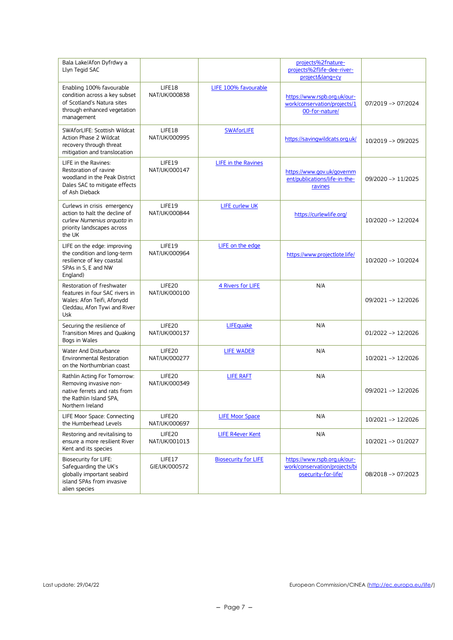| Bala Lake/Afon Dyfrdwy a<br>Llyn Tegid SAC                                                                                            |                         |                             | projects%2fnature-<br>projects%2flife-dee-river-<br>project⟨=cy                      |                               |
|---------------------------------------------------------------------------------------------------------------------------------------|-------------------------|-----------------------------|--------------------------------------------------------------------------------------|-------------------------------|
| Enabling 100% favourable<br>condition across a key subset<br>of Scotland's Natura sites<br>through enhanced vegetation<br>management  | LIFE18<br>NAT/UK/000838 | LIFE 100% favourable        | https://www.rspb.org.uk/our-<br>work/conservation/projects/1<br>00-for-nature/       | $07/2019 - 07/2024$           |
| SWAforLIFE: Scottish Wildcat<br><b>Action Phase 2 Wildcat</b><br>recovery through threat<br>mitigation and translocation              | LIFE18<br>NAT/UK/000995 | <b>SWAforLIFE</b>           | https://savingwildcats.org.uk/                                                       | 10/2019 -> 09/2025            |
| LIFE in the Ravines:<br>Restoration of ravine<br>woodland in the Peak District<br>Dales SAC to mitigate effects<br>of Ash Dieback     | LIFE19<br>NAT/UK/000147 | LIFE in the Ravines         | https://www.gov.uk/governm<br>ent/publications/life-in-the-<br>ravines               | 09/2020 -> 11/2025            |
| Curlews in crisis emergency<br>action to halt the decline of<br>curlew Numenius arquata in<br>priority landscapes across<br>the UK    | LIFE19<br>NAT/UK/000844 | <b>LIFE curlew UK</b>       | https://curlewlife.org/                                                              | 10/2020 -> 12/2024            |
| LIFE on the edge: improving<br>the condition and long-term<br>resilience of key coastal<br>SPAs in S, E and NW<br>England)            | LIFE19<br>NAT/UK/000964 | LIFE on the edge            | https://www.projectlote.life/                                                        | 10/2020 -> 10/2024            |
| Restoration of freshwater<br>features in four SAC rivers in<br>Wales: Afon Teifi, Afonydd<br>Cleddau, Afon Tywi and River<br>Usk      | LIFE20<br>NAT/UK/000100 | 4 Rivers for LIFE           | N/A                                                                                  | 09/2021 -> 12/2026            |
| Securing the resilience of<br>Transition Mires and Quaking<br>Bogs in Wales                                                           | LIFE20<br>NAT/UK/000137 | LIFEquake                   | N/A                                                                                  | $01/2022 \rightarrow 12/2026$ |
| Water And Disturbance<br><b>Environmental Restoration</b><br>on the Northumbrian coast                                                | LIFE20<br>NAT/UK/000277 | <b>LIFE WADER</b>           | N/A                                                                                  | 10/2021 -> 12/2026            |
| Rathlin Acting For Tomorrow:<br>Removing invasive non-<br>native ferrets and rats from<br>the Rathlin Island SPA,<br>Northern Ireland | LIFE20<br>NAT/UK/000349 | <b>LIFE RAFT</b>            | N/A                                                                                  | 09/2021 -> 12/2026            |
| LIFE Moor Space: Connecting<br>the Humberhead Levels                                                                                  | LIFE20<br>NAT/UK/000697 | <b>LIFE Moor Space</b>      | N/A                                                                                  | 10/2021 -> 12/2026            |
| Restoring and revitalising to<br>ensure a more resilient River<br>Kent and its species                                                | LIFE20<br>NAT/UK/001013 | <b>LIFE R4ever Kent</b>     | N/A                                                                                  | 10/2021 -> 01/2027            |
| Biosecurity for LIFE:<br>Safeguarding the UK's<br>globally important seabird<br>island SPAs from invasive<br>alien species            | LIFE17<br>GIE/UK/000572 | <b>Biosecurity for LIFE</b> | https://www.rspb.org.uk/our-<br>work/conservation/projects/bi<br>osecurity-for-life/ | 08/2018 -> 07/2023            |

Last update: 29/04/22 **European Commission/CINEA** (http://ec.europa.eu/life/)